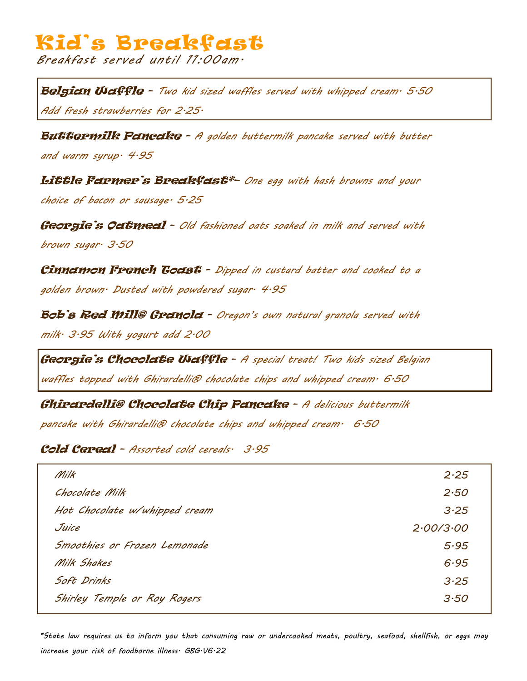## Kid's Breakfast

*Breakfast served until 11:00am.*

Belgian Waffle - *Two kid sized waffles served with whipped cream. 5.50 Add fresh strawberries for 2.25.*

**Buttermilk Pancake** - A golden buttermilk pancake served with butter *and warm syrup. 4.95*

Little Farmer's Breakfast\*– *One egg with hash browns and your choice of bacon or sausage. 5.25*

Georgie's Oatmeal - *Old fashioned oats soaked in milk and served with brown sugar. 3.50*

Cinnamon French Toast - *Dipped in custard batter and cooked to a golden brown. Dusted with powdered sugar. 4.95*

Bob's Red Mill® Granola - *Oregon's own natural granola served with milk. 3.95 With yogurt add 2.00*

Georgie's Chocolate **Waffle** - A special treat! Two kids sized Belgian *waffles topped with Ghirardelli® chocolate chips and whipped cream. 6.50*

Ghirardelli® Chocolate Chip Pancake - *A delicious buttermilk* 

*pancake with Ghirardelli® chocolate chips and whipped cream. 6.50*

Cold Cereal - *Assorted cold cereals. 3.95*

| Milk                          | 2.25      |
|-------------------------------|-----------|
| Chocolate Milk                | 2.50      |
| Hot Chocolate w/whipped cream | 3.25      |
| Juice                         | 2.00/3.00 |
| Smoothies or Frozen Lemonade  | 5.95      |
| Milk Shakes                   | 6.95      |
| Soft Drinks                   | 3.25      |
| Shirley Temple or Roy Rogers  | 3.50      |
|                               |           |

*\*State law requires us to inform you that consuming raw or undercooked meats, poultry, seafood, shellfish, or eggs may increase your risk of foodborne illness. GBG.V6.22*